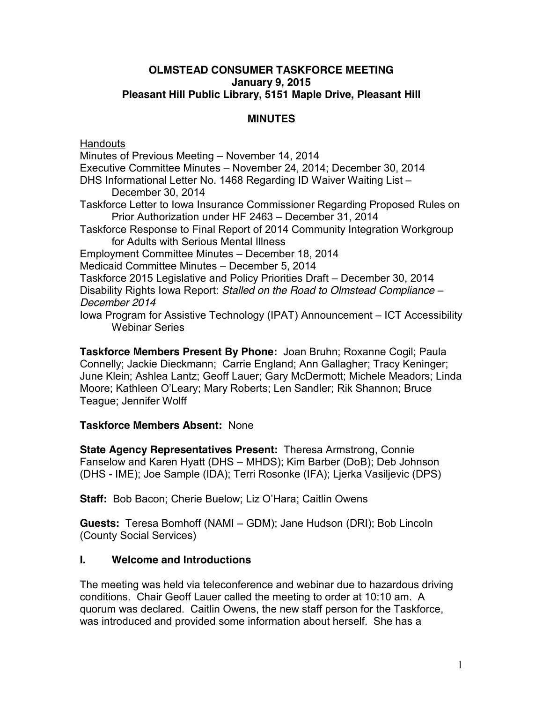#### **OLMSTEAD CONSUMER TASKFORCE MEETING January 9, 2015 Pleasant Hill Public Library, 5151 Maple Drive, Pleasant Hill**

# **MINUTES**

**Handouts** Minutes of Previous Meeting – November 14, 2014 Executive Committee Minutes – November 24, 2014; December 30, 2014 DHS Informational Letter No. 1468 Regarding ID Waiver Waiting List – December 30, 2014 Taskforce Letter to Iowa Insurance Commissioner Regarding Proposed Rules on Prior Authorization under HF 2463 – December 31, 2014 Taskforce Response to Final Report of 2014 Community Integration Workgroup for Adults with Serious Mental Illness Employment Committee Minutes – December 18, 2014 Medicaid Committee Minutes – December 5, 2014 Taskforce 2015 Legislative and Policy Priorities Draft – December 30, 2014 Disability Rights Iowa Report: *Stalled on the Road to Olmstead Compliance – December 2014* Iowa Program for Assistive Technology (IPAT) Announcement – ICT Accessibility Webinar Series

**Taskforce Members Present By Phone:** Joan Bruhn; Roxanne Cogil; Paula Connelly; Jackie Dieckmann; Carrie England; Ann Gallagher; Tracy Keninger; June Klein; Ashlea Lantz; Geoff Lauer; Gary McDermott; Michele Meadors; Linda Moore; Kathleen O'Leary; Mary Roberts; Len Sandler; Rik Shannon; Bruce Teague; Jennifer Wolff

#### **Taskforce Members Absent:** None

**State Agency Representatives Present:** Theresa Armstrong, Connie Fanselow and Karen Hyatt (DHS – MHDS); Kim Barber (DoB); Deb Johnson (DHS - IME); Joe Sample (IDA); Terri Rosonke (IFA); Ljerka Vasiljevic (DPS)

**Staff:** Bob Bacon; Cherie Buelow; Liz O'Hara; Caitlin Owens

**Guests:** Teresa Bomhoff (NAMI – GDM); Jane Hudson (DRI); Bob Lincoln (County Social Services)

#### **I. Welcome and Introductions**

The meeting was held via teleconference and webinar due to hazardous driving conditions. Chair Geoff Lauer called the meeting to order at 10:10 am. A quorum was declared. Caitlin Owens, the new staff person for the Taskforce, was introduced and provided some information about herself. She has a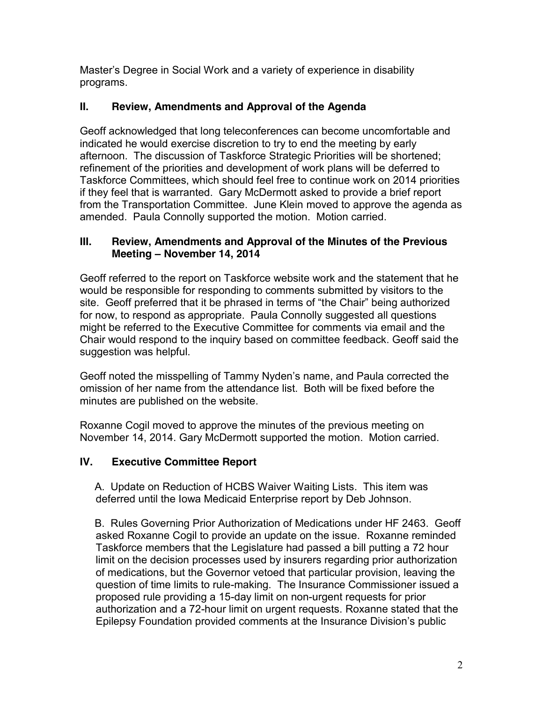Master's Degree in Social Work and a variety of experience in disability programs.

# **II. Review, Amendments and Approval of the Agenda**

Geoff acknowledged that long teleconferences can become uncomfortable and indicated he would exercise discretion to try to end the meeting by early afternoon. The discussion of Taskforce Strategic Priorities will be shortened; refinement of the priorities and development of work plans will be deferred to Taskforce Committees, which should feel free to continue work on 2014 priorities if they feel that is warranted. Gary McDermott asked to provide a brief report from the Transportation Committee. June Klein moved to approve the agenda as amended. Paula Connolly supported the motion. Motion carried.

# **III. Review, Amendments and Approval of the Minutes of the Previous Meeting – November 14, 2014**

Geoff referred to the report on Taskforce website work and the statement that he would be responsible for responding to comments submitted by visitors to the site. Geoff preferred that it be phrased in terms of "the Chair" being authorized for now, to respond as appropriate. Paula Connolly suggested all questions might be referred to the Executive Committee for comments via email and the Chair would respond to the inquiry based on committee feedback. Geoff said the suggestion was helpful.

Geoff noted the misspelling of Tammy Nyden's name, and Paula corrected the omission of her name from the attendance list. Both will be fixed before the minutes are published on the website.

Roxanne Cogil moved to approve the minutes of the previous meeting on November 14, 2014. Gary McDermott supported the motion. Motion carried.

# **IV. Executive Committee Report**

 A. Update on Reduction of HCBS Waiver Waiting Lists. This item was deferred until the Iowa Medicaid Enterprise report by Deb Johnson.

 B. Rules Governing Prior Authorization of Medications under HF 2463. Geoff asked Roxanne Cogil to provide an update on the issue. Roxanne reminded Taskforce members that the Legislature had passed a bill putting a 72 hour limit on the decision processes used by insurers regarding prior authorization of medications, but the Governor vetoed that particular provision, leaving the question of time limits to rule-making. The Insurance Commissioner issued a proposed rule providing a 15-day limit on non-urgent requests for prior authorization and a 72-hour limit on urgent requests. Roxanne stated that the Epilepsy Foundation provided comments at the Insurance Division's public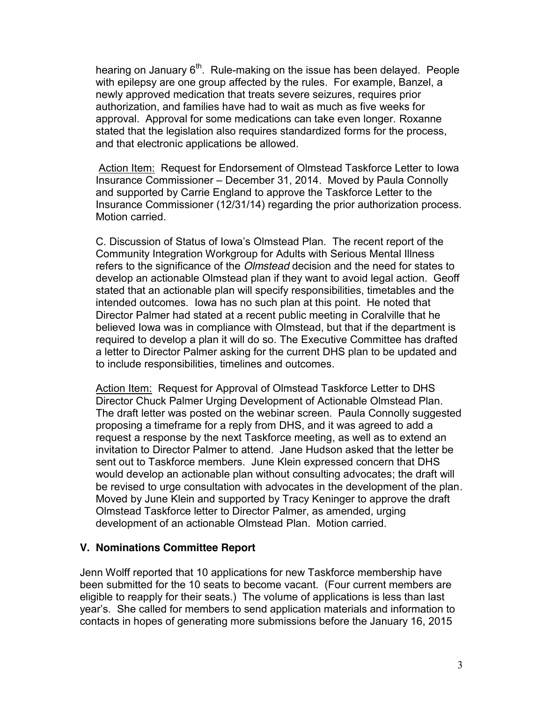hearing on January 6<sup>th</sup>. Rule-making on the issue has been delayed. People with epilepsy are one group affected by the rules. For example, Banzel, a newly approved medication that treats severe seizures, requires prior authorization, and families have had to wait as much as five weeks for approval. Approval for some medications can take even longer. Roxanne stated that the legislation also requires standardized forms for the process, and that electronic applications be allowed.

Action Item: Request for Endorsement of Olmstead Taskforce Letter to Iowa Insurance Commissioner – December 31, 2014. Moved by Paula Connolly and supported by Carrie England to approve the Taskforce Letter to the Insurance Commissioner (12/31/14) regarding the prior authorization process. Motion carried.

C. Discussion of Status of Iowa's Olmstead Plan. The recent report of the Community Integration Workgroup for Adults with Serious Mental Illness refers to the significance of the *Olmstead* decision and the need for states to develop an actionable Olmstead plan if they want to avoid legal action. Geoff stated that an actionable plan will specify responsibilities, timetables and the intended outcomes. Iowa has no such plan at this point. He noted that Director Palmer had stated at a recent public meeting in Coralville that he believed Iowa was in compliance with Olmstead, but that if the department is required to develop a plan it will do so. The Executive Committee has drafted a letter to Director Palmer asking for the current DHS plan to be updated and to include responsibilities, timelines and outcomes.

Action Item: Request for Approval of Olmstead Taskforce Letter to DHS Director Chuck Palmer Urging Development of Actionable Olmstead Plan. The draft letter was posted on the webinar screen. Paula Connolly suggested proposing a timeframe for a reply from DHS, and it was agreed to add a request a response by the next Taskforce meeting, as well as to extend an invitation to Director Palmer to attend. Jane Hudson asked that the letter be sent out to Taskforce members. June Klein expressed concern that DHS would develop an actionable plan without consulting advocates; the draft will be revised to urge consultation with advocates in the development of the plan. Moved by June Klein and supported by Tracy Keninger to approve the draft Olmstead Taskforce letter to Director Palmer, as amended, urging development of an actionable Olmstead Plan. Motion carried.

#### **V. Nominations Committee Report**

Jenn Wolff reported that 10 applications for new Taskforce membership have been submitted for the 10 seats to become vacant. (Four current members are eligible to reapply for their seats.) The volume of applications is less than last year's. She called for members to send application materials and information to contacts in hopes of generating more submissions before the January 16, 2015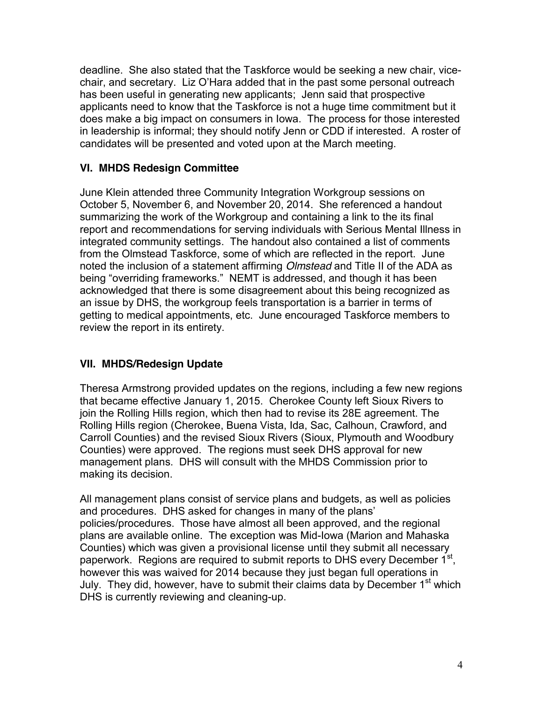deadline. She also stated that the Taskforce would be seeking a new chair, vicechair, and secretary. Liz O'Hara added that in the past some personal outreach has been useful in generating new applicants; Jenn said that prospective applicants need to know that the Taskforce is not a huge time commitment but it does make a big impact on consumers in Iowa. The process for those interested in leadership is informal; they should notify Jenn or CDD if interested. A roster of candidates will be presented and voted upon at the March meeting.

# **VI. MHDS Redesign Committee**

June Klein attended three Community Integration Workgroup sessions on October 5, November 6, and November 20, 2014. She referenced a handout summarizing the work of the Workgroup and containing a link to the its final report and recommendations for serving individuals with Serious Mental Illness in integrated community settings. The handout also contained a list of comments from the Olmstead Taskforce, some of which are reflected in the report. June noted the inclusion of a statement affirming *Olmstead* and Title II of the ADA as being "overriding frameworks." NEMT is addressed, and though it has been acknowledged that there is some disagreement about this being recognized as an issue by DHS, the workgroup feels transportation is a barrier in terms of getting to medical appointments, etc. June encouraged Taskforce members to review the report in its entirety.

# **VII. MHDS/Redesign Update**

Theresa Armstrong provided updates on the regions, including a few new regions that became effective January 1, 2015. Cherokee County left Sioux Rivers to join the Rolling Hills region, which then had to revise its 28E agreement. The Rolling Hills region (Cherokee, Buena Vista, Ida, Sac, Calhoun, Crawford, and Carroll Counties) and the revised Sioux Rivers (Sioux, Plymouth and Woodbury Counties) were approved. The regions must seek DHS approval for new management plans. DHS will consult with the MHDS Commission prior to making its decision.

All management plans consist of service plans and budgets, as well as policies and procedures. DHS asked for changes in many of the plans' policies/procedures. Those have almost all been approved, and the regional plans are available online. The exception was Mid-Iowa (Marion and Mahaska Counties) which was given a provisional license until they submit all necessary paperwork. Regions are required to submit reports to DHS every December 1<sup>st</sup>, however this was waived for 2014 because they just began full operations in July. They did, however, have to submit their claims data by December 1<sup>st</sup> which DHS is currently reviewing and cleaning-up.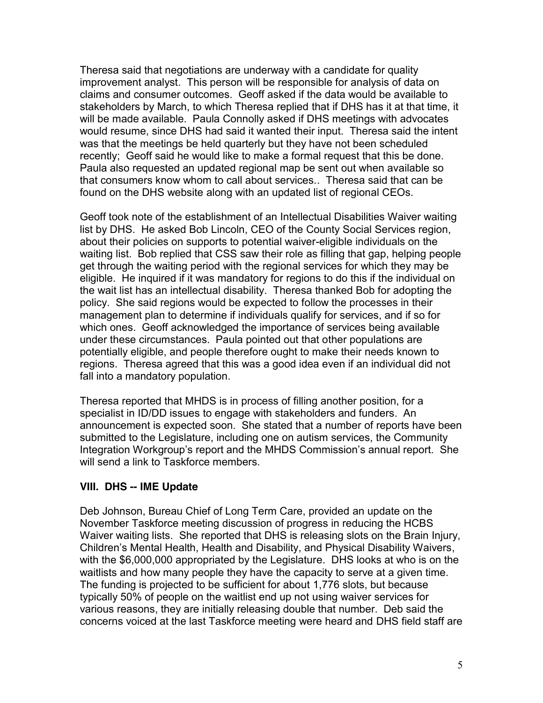Theresa said that negotiations are underway with a candidate for quality improvement analyst. This person will be responsible for analysis of data on claims and consumer outcomes. Geoff asked if the data would be available to stakeholders by March, to which Theresa replied that if DHS has it at that time, it will be made available. Paula Connolly asked if DHS meetings with advocates would resume, since DHS had said it wanted their input. Theresa said the intent was that the meetings be held quarterly but they have not been scheduled recently; Geoff said he would like to make a formal request that this be done. Paula also requested an updated regional map be sent out when available so that consumers know whom to call about services.. Theresa said that can be found on the DHS website along with an updated list of regional CEOs.

Geoff took note of the establishment of an Intellectual Disabilities Waiver waiting list by DHS. He asked Bob Lincoln, CEO of the County Social Services region, about their policies on supports to potential waiver-eligible individuals on the waiting list. Bob replied that CSS saw their role as filling that gap, helping people get through the waiting period with the regional services for which they may be eligible. He inquired if it was mandatory for regions to do this if the individual on the wait list has an intellectual disability. Theresa thanked Bob for adopting the policy. She said regions would be expected to follow the processes in their management plan to determine if individuals qualify for services, and if so for which ones. Geoff acknowledged the importance of services being available under these circumstances. Paula pointed out that other populations are potentially eligible, and people therefore ought to make their needs known to regions. Theresa agreed that this was a good idea even if an individual did not fall into a mandatory population.

Theresa reported that MHDS is in process of filling another position, for a specialist in ID/DD issues to engage with stakeholders and funders. An announcement is expected soon. She stated that a number of reports have been submitted to the Legislature, including one on autism services, the Community Integration Workgroup's report and the MHDS Commission's annual report. She will send a link to Taskforce members.

#### **VIII. DHS -- IME Update**

Deb Johnson, Bureau Chief of Long Term Care, provided an update on the November Taskforce meeting discussion of progress in reducing the HCBS Waiver waiting lists. She reported that DHS is releasing slots on the Brain Injury, Children's Mental Health, Health and Disability, and Physical Disability Waivers, with the \$6,000,000 appropriated by the Legislature. DHS looks at who is on the waitlists and how many people they have the capacity to serve at a given time. The funding is projected to be sufficient for about 1,776 slots, but because typically 50% of people on the waitlist end up not using waiver services for various reasons, they are initially releasing double that number. Deb said the concerns voiced at the last Taskforce meeting were heard and DHS field staff are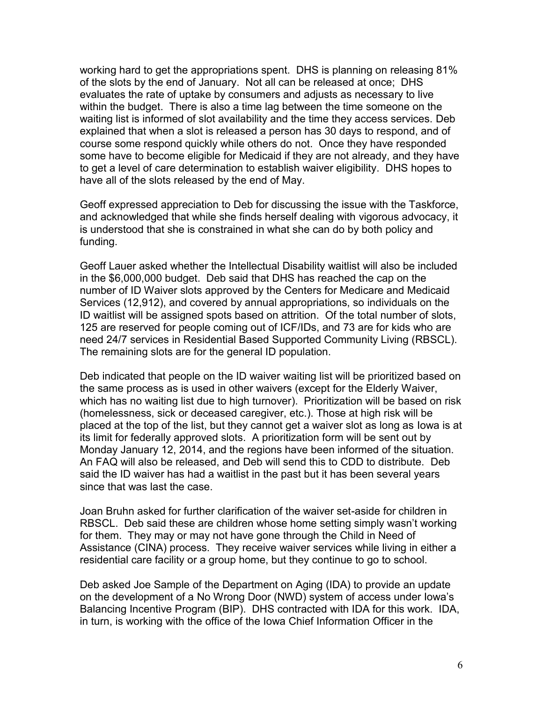working hard to get the appropriations spent. DHS is planning on releasing 81% of the slots by the end of January. Not all can be released at once; DHS evaluates the rate of uptake by consumers and adjusts as necessary to live within the budget. There is also a time lag between the time someone on the waiting list is informed of slot availability and the time they access services. Deb explained that when a slot is released a person has 30 days to respond, and of course some respond quickly while others do not. Once they have responded some have to become eligible for Medicaid if they are not already, and they have to get a level of care determination to establish waiver eligibility. DHS hopes to have all of the slots released by the end of May.

Geoff expressed appreciation to Deb for discussing the issue with the Taskforce, and acknowledged that while she finds herself dealing with vigorous advocacy, it is understood that she is constrained in what she can do by both policy and funding.

Geoff Lauer asked whether the Intellectual Disability waitlist will also be included in the \$6,000,000 budget. Deb said that DHS has reached the cap on the number of ID Waiver slots approved by the Centers for Medicare and Medicaid Services (12,912), and covered by annual appropriations, so individuals on the ID waitlist will be assigned spots based on attrition. Of the total number of slots, 125 are reserved for people coming out of ICF/IDs, and 73 are for kids who are need 24/7 services in Residential Based Supported Community Living (RBSCL). The remaining slots are for the general ID population.

Deb indicated that people on the ID waiver waiting list will be prioritized based on the same process as is used in other waivers (except for the Elderly Waiver, which has no waiting list due to high turnover). Prioritization will be based on risk (homelessness, sick or deceased caregiver, etc.). Those at high risk will be placed at the top of the list, but they cannot get a waiver slot as long as Iowa is at its limit for federally approved slots. A prioritization form will be sent out by Monday January 12, 2014, and the regions have been informed of the situation. An FAQ will also be released, and Deb will send this to CDD to distribute. Deb said the ID waiver has had a waitlist in the past but it has been several years since that was last the case.

Joan Bruhn asked for further clarification of the waiver set-aside for children in RBSCL. Deb said these are children whose home setting simply wasn't working for them. They may or may not have gone through the Child in Need of Assistance (CINA) process. They receive waiver services while living in either a residential care facility or a group home, but they continue to go to school.

Deb asked Joe Sample of the Department on Aging (IDA) to provide an update on the development of a No Wrong Door (NWD) system of access under Iowa's Balancing Incentive Program (BIP). DHS contracted with IDA for this work. IDA, in turn, is working with the office of the Iowa Chief Information Officer in the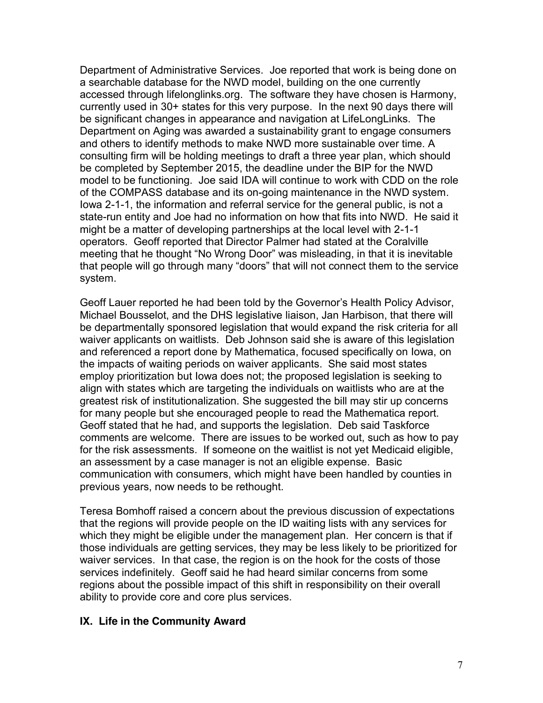Department of Administrative Services. Joe reported that work is being done on a searchable database for the NWD model, building on the one currently accessed through lifelonglinks.org. The software they have chosen is Harmony, currently used in 30+ states for this very purpose. In the next 90 days there will be significant changes in appearance and navigation at LifeLongLinks. The Department on Aging was awarded a sustainability grant to engage consumers and others to identify methods to make NWD more sustainable over time. A consulting firm will be holding meetings to draft a three year plan, which should be completed by September 2015, the deadline under the BIP for the NWD model to be functioning. Joe said IDA will continue to work with CDD on the role of the COMPASS database and its on-going maintenance in the NWD system. Iowa 2-1-1, the information and referral service for the general public, is not a state-run entity and Joe had no information on how that fits into NWD. He said it might be a matter of developing partnerships at the local level with 2-1-1 operators. Geoff reported that Director Palmer had stated at the Coralville meeting that he thought "No Wrong Door" was misleading, in that it is inevitable that people will go through many "doors" that will not connect them to the service system.

Geoff Lauer reported he had been told by the Governor's Health Policy Advisor, Michael Bousselot, and the DHS legislative liaison, Jan Harbison, that there will be departmentally sponsored legislation that would expand the risk criteria for all waiver applicants on waitlists. Deb Johnson said she is aware of this legislation and referenced a report done by Mathematica, focused specifically on Iowa, on the impacts of waiting periods on waiver applicants. She said most states employ prioritization but Iowa does not; the proposed legislation is seeking to align with states which are targeting the individuals on waitlists who are at the greatest risk of institutionalization. She suggested the bill may stir up concerns for many people but she encouraged people to read the Mathematica report. Geoff stated that he had, and supports the legislation. Deb said Taskforce comments are welcome. There are issues to be worked out, such as how to pay for the risk assessments. If someone on the waitlist is not yet Medicaid eligible, an assessment by a case manager is not an eligible expense. Basic communication with consumers, which might have been handled by counties in previous years, now needs to be rethought.

Teresa Bomhoff raised a concern about the previous discussion of expectations that the regions will provide people on the ID waiting lists with any services for which they might be eligible under the management plan. Her concern is that if those individuals are getting services, they may be less likely to be prioritized for waiver services. In that case, the region is on the hook for the costs of those services indefinitely. Geoff said he had heard similar concerns from some regions about the possible impact of this shift in responsibility on their overall ability to provide core and core plus services.

#### **IX. Life in the Community Award**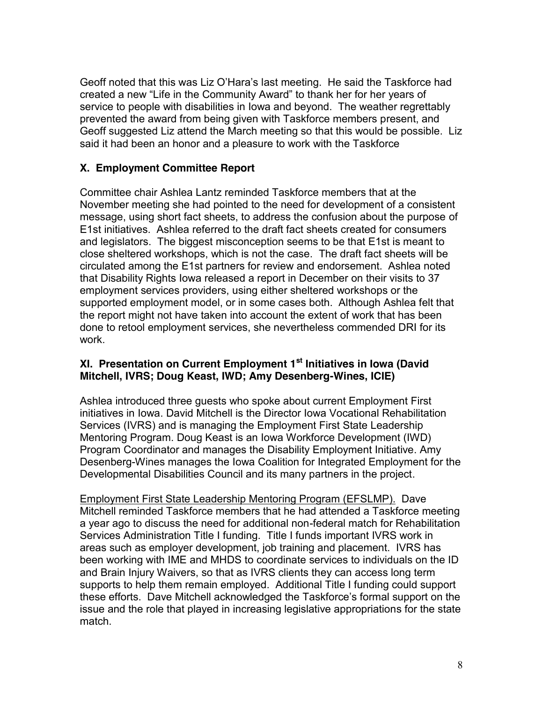Geoff noted that this was Liz O'Hara's last meeting. He said the Taskforce had created a new "Life in the Community Award" to thank her for her years of service to people with disabilities in Iowa and beyond. The weather regrettably prevented the award from being given with Taskforce members present, and Geoff suggested Liz attend the March meeting so that this would be possible. Liz said it had been an honor and a pleasure to work with the Taskforce

# **X. Employment Committee Report**

Committee chair Ashlea Lantz reminded Taskforce members that at the November meeting she had pointed to the need for development of a consistent message, using short fact sheets, to address the confusion about the purpose of E1st initiatives. Ashlea referred to the draft fact sheets created for consumers and legislators. The biggest misconception seems to be that E1st is meant to close sheltered workshops, which is not the case. The draft fact sheets will be circulated among the E1st partners for review and endorsement. Ashlea noted that Disability Rights Iowa released a report in December on their visits to 37 employment services providers, using either sheltered workshops or the supported employment model, or in some cases both. Although Ashlea felt that the report might not have taken into account the extent of work that has been done to retool employment services, she nevertheless commended DRI for its work.

# **XI. Presentation on Current Employment 1st Initiatives in Iowa (David Mitchell, IVRS; Doug Keast, IWD; Amy Desenberg-Wines, ICIE)**

Ashlea introduced three guests who spoke about current Employment First initiatives in Iowa. David Mitchell is the Director Iowa Vocational Rehabilitation Services (IVRS) and is managing the Employment First State Leadership Mentoring Program. Doug Keast is an Iowa Workforce Development (IWD) Program Coordinator and manages the Disability Employment Initiative. Amy Desenberg-Wines manages the Iowa Coalition for Integrated Employment for the Developmental Disabilities Council and its many partners in the project.

Employment First State Leadership Mentoring Program (EFSLMP). Dave Mitchell reminded Taskforce members that he had attended a Taskforce meeting a year ago to discuss the need for additional non-federal match for Rehabilitation Services Administration Title I funding. Title I funds important IVRS work in areas such as employer development, job training and placement. IVRS has been working with IME and MHDS to coordinate services to individuals on the ID and Brain Injury Waivers, so that as IVRS clients they can access long term supports to help them remain employed. Additional Title I funding could support these efforts. Dave Mitchell acknowledged the Taskforce's formal support on the issue and the role that played in increasing legislative appropriations for the state match.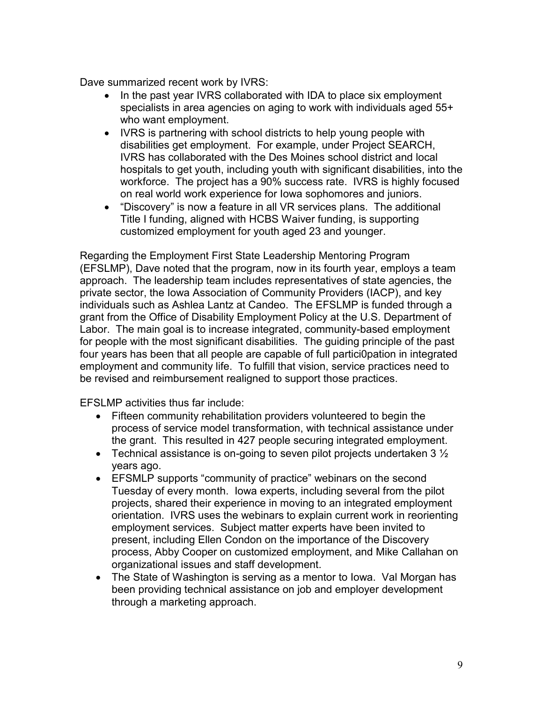Dave summarized recent work by IVRS:

- In the past year IVRS collaborated with IDA to place six employment specialists in area agencies on aging to work with individuals aged 55+ who want employment.
- IVRS is partnering with school districts to help young people with disabilities get employment. For example, under Project SEARCH, IVRS has collaborated with the Des Moines school district and local hospitals to get youth, including youth with significant disabilities, into the workforce. The project has a 90% success rate. IVRS is highly focused on real world work experience for Iowa sophomores and juniors.
- "Discovery" is now a feature in all VR services plans. The additional Title I funding, aligned with HCBS Waiver funding, is supporting customized employment for youth aged 23 and younger.

Regarding the Employment First State Leadership Mentoring Program (EFSLMP), Dave noted that the program, now in its fourth year, employs a team approach. The leadership team includes representatives of state agencies, the private sector, the Iowa Association of Community Providers (IACP), and key individuals such as Ashlea Lantz at Candeo. The EFSLMP is funded through a grant from the Office of Disability Employment Policy at the U.S. Department of Labor. The main goal is to increase integrated, community-based employment for people with the most significant disabilities. The guiding principle of the past four years has been that all people are capable of full partici0pation in integrated employment and community life. To fulfill that vision, service practices need to be revised and reimbursement realigned to support those practices.

EFSLMP activities thus far include:

- Fifteen community rehabilitation providers volunteered to begin the process of service model transformation, with technical assistance under the grant. This resulted in 427 people securing integrated employment.
- Technical assistance is on-going to seven pilot projects undertaken  $3\frac{1}{2}$ years ago.
- EFSMLP supports "community of practice" webinars on the second Tuesday of every month. Iowa experts, including several from the pilot projects, shared their experience in moving to an integrated employment orientation. IVRS uses the webinars to explain current work in reorienting employment services. Subject matter experts have been invited to present, including Ellen Condon on the importance of the Discovery process, Abby Cooper on customized employment, and Mike Callahan on organizational issues and staff development.
- The State of Washington is serving as a mentor to Iowa. Val Morgan has been providing technical assistance on job and employer development through a marketing approach.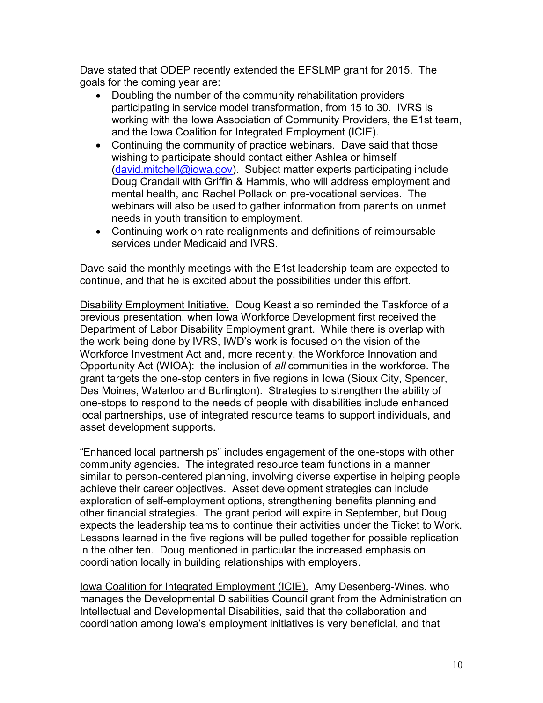Dave stated that ODEP recently extended the EFSLMP grant for 2015. The goals for the coming year are:

- Doubling the number of the community rehabilitation providers participating in service model transformation, from 15 to 30. IVRS is working with the Iowa Association of Community Providers, the E1st team, and the Iowa Coalition for Integrated Employment (ICIE).
- Continuing the community of practice webinars. Dave said that those wishing to participate should contact either Ashlea or himself [\(david.mitchell@iowa.gov\)](mailto:david.mitchell@iowa.gov). Subject matter experts participating include Doug Crandall with Griffin & Hammis, who will address employment and mental health, and Rachel Pollack on pre-vocational services. The webinars will also be used to gather information from parents on unmet needs in youth transition to employment.
- Continuing work on rate realignments and definitions of reimbursable services under Medicaid and IVRS.

Dave said the monthly meetings with the E1st leadership team are expected to continue, and that he is excited about the possibilities under this effort.

Disability Employment Initiative. Doug Keast also reminded the Taskforce of a previous presentation, when Iowa Workforce Development first received the Department of Labor Disability Employment grant. While there is overlap with the work being done by IVRS, IWD's work is focused on the vision of the Workforce Investment Act and, more recently, the Workforce Innovation and Opportunity Act (WIOA): the inclusion of *all* communities in the workforce. The grant targets the one-stop centers in five regions in Iowa (Sioux City, Spencer, Des Moines, Waterloo and Burlington). Strategies to strengthen the ability of one-stops to respond to the needs of people with disabilities include enhanced local partnerships, use of integrated resource teams to support individuals, and asset development supports.

"Enhanced local partnerships" includes engagement of the one-stops with other community agencies. The integrated resource team functions in a manner similar to person-centered planning, involving diverse expertise in helping people achieve their career objectives. Asset development strategies can include exploration of self-employment options, strengthening benefits planning and other financial strategies. The grant period will expire in September, but Doug expects the leadership teams to continue their activities under the Ticket to Work. Lessons learned in the five regions will be pulled together for possible replication in the other ten. Doug mentioned in particular the increased emphasis on coordination locally in building relationships with employers.

Iowa Coalition for Integrated Employment (ICIE). Amy Desenberg-Wines, who manages the Developmental Disabilities Council grant from the Administration on Intellectual and Developmental Disabilities, said that the collaboration and coordination among Iowa's employment initiatives is very beneficial, and that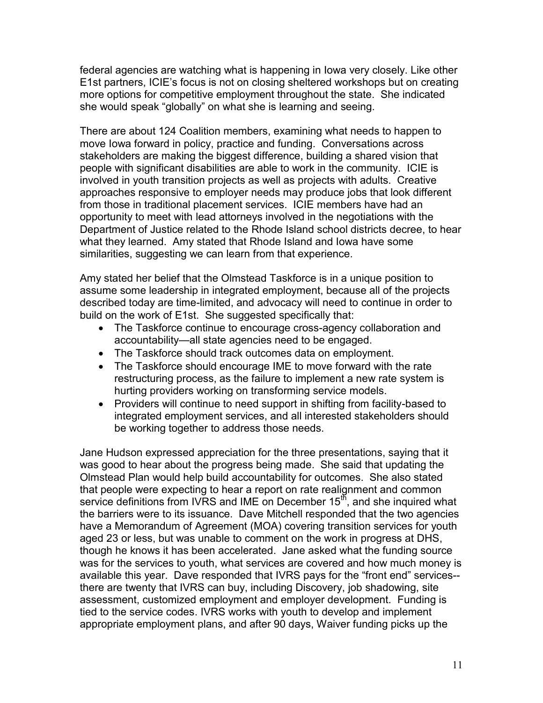federal agencies are watching what is happening in Iowa very closely. Like other E1st partners, ICIE's focus is not on closing sheltered workshops but on creating more options for competitive employment throughout the state. She indicated she would speak "globally" on what she is learning and seeing.

There are about 124 Coalition members, examining what needs to happen to move Iowa forward in policy, practice and funding. Conversations across stakeholders are making the biggest difference, building a shared vision that people with significant disabilities are able to work in the community. ICIE is involved in youth transition projects as well as projects with adults. Creative approaches responsive to employer needs may produce jobs that look different from those in traditional placement services. ICIE members have had an opportunity to meet with lead attorneys involved in the negotiations with the Department of Justice related to the Rhode Island school districts decree, to hear what they learned. Amy stated that Rhode Island and Iowa have some similarities, suggesting we can learn from that experience.

Amy stated her belief that the Olmstead Taskforce is in a unique position to assume some leadership in integrated employment, because all of the projects described today are time-limited, and advocacy will need to continue in order to build on the work of E1st. She suggested specifically that:

- The Taskforce continue to encourage cross-agency collaboration and accountability—all state agencies need to be engaged.
- The Taskforce should track outcomes data on employment.
- The Taskforce should encourage IME to move forward with the rate restructuring process, as the failure to implement a new rate system is hurting providers working on transforming service models.
- Providers will continue to need support in shifting from facility-based to integrated employment services, and all interested stakeholders should be working together to address those needs.

Jane Hudson expressed appreciation for the three presentations, saying that it was good to hear about the progress being made. She said that updating the Olmstead Plan would help build accountability for outcomes. She also stated that people were expecting to hear a report on rate realignment and common service definitions from IVRS and IME on December  $15<sup>th</sup>$ , and she inquired what the barriers were to its issuance. Dave Mitchell responded that the two agencies have a Memorandum of Agreement (MOA) covering transition services for youth aged 23 or less, but was unable to comment on the work in progress at DHS, though he knows it has been accelerated. Jane asked what the funding source was for the services to youth, what services are covered and how much money is available this year. Dave responded that IVRS pays for the "front end" services- there are twenty that IVRS can buy, including Discovery, job shadowing, site assessment, customized employment and employer development. Funding is tied to the service codes. IVRS works with youth to develop and implement appropriate employment plans, and after 90 days, Waiver funding picks up the